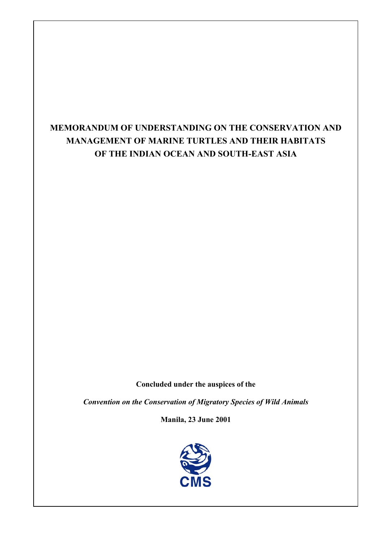# **MEMORANDUM OF UNDERSTANDING ON THE CONSERVATION AND MANAGEMENT OF MARINE TURTLES AND THEIR HABITATS OF THE INDIAN OCEAN AND SOUTH-EAST ASIA**

 $\overline{1}$  $\overline{\phantom{a}}$ 

**Concluded under the auspices of the** 

*Convention on the Conservation of Migratory Species of Wild Animals* 

**Manila, 23 June 2001** 

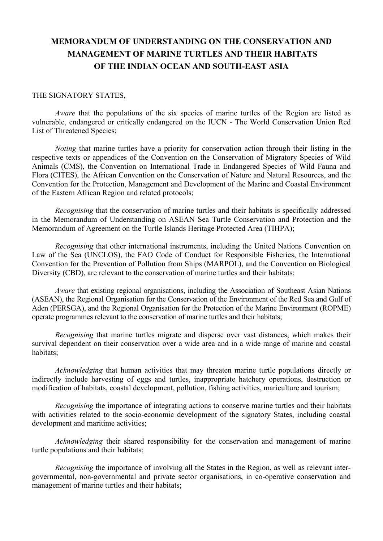## **MEMORANDUM OF UNDERSTANDING ON THE CONSERVATION AND MANAGEMENT OF MARINE TURTLES AND THEIR HABITATS OF THE INDIAN OCEAN AND SOUTH-EAST ASIA**

#### THE SIGNATORY STATES,

*Aware* that the populations of the six species of marine turtles of the Region are listed as vulnerable, endangered or critically endangered on the IUCN - The World Conservation Union Red List of Threatened Species;

*Noting* that marine turtles have a priority for conservation action through their listing in the respective texts or appendices of the Convention on the Conservation of Migratory Species of Wild Animals (CMS), the Convention on International Trade in Endangered Species of Wild Fauna and Flora (CITES), the African Convention on the Conservation of Nature and Natural Resources, and the Convention for the Protection, Management and Development of the Marine and Coastal Environment of the Eastern African Region and related protocols;

*Recognising* that the conservation of marine turtles and their habitats is specifically addressed in the Memorandum of Understanding on ASEAN Sea Turtle Conservation and Protection and the Memorandum of Agreement on the Turtle Islands Heritage Protected Area (TIHPA);

*Recognising* that other international instruments, including the United Nations Convention on Law of the Sea (UNCLOS), the FAO Code of Conduct for Responsible Fisheries, the International Convention for the Prevention of Pollution from Ships (MARPOL), and the Convention on Biological Diversity (CBD), are relevant to the conservation of marine turtles and their habitats;

*Aware* that existing regional organisations, including the Association of Southeast Asian Nations (ASEAN), the Regional Organisation for the Conservation of the Environment of the Red Sea and Gulf of Aden (PERSGA), and the Regional Organisation for the Protection of the Marine Environment (ROPME) operate programmes relevant to the conservation of marine turtles and their habitats;

*Recognising* that marine turtles migrate and disperse over vast distances, which makes their survival dependent on their conservation over a wide area and in a wide range of marine and coastal habitats;

*Acknowledging* that human activities that may threaten marine turtle populations directly or indirectly include harvesting of eggs and turtles, inappropriate hatchery operations, destruction or modification of habitats, coastal development, pollution, fishing activities, mariculture and tourism;

*Recognising* the importance of integrating actions to conserve marine turtles and their habitats with activities related to the socio-economic development of the signatory States, including coastal development and maritime activities;

*Acknowledging* their shared responsibility for the conservation and management of marine turtle populations and their habitats;

*Recognising* the importance of involving all the States in the Region, as well as relevant intergovernmental, non-governmental and private sector organisations, in co-operative conservation and management of marine turtles and their habitats;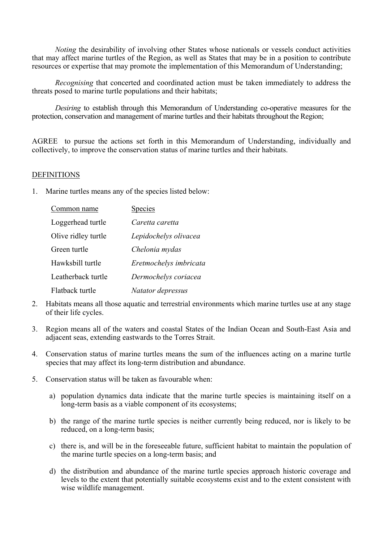*Noting* the desirability of involving other States whose nationals or vessels conduct activities that may affect marine turtles of the Region, as well as States that may be in a position to contribute resources or expertise that may promote the implementation of this Memorandum of Understanding;

*Recognising* that concerted and coordinated action must be taken immediately to address the threats posed to marine turtle populations and their habitats;

*Desiring* to establish through this Memorandum of Understanding co-operative measures for the protection, conservation and management of marine turtles and their habitats throughout the Region;

AGREE to pursue the actions set forth in this Memorandum of Understanding, individually and collectively, to improve the conservation status of marine turtles and their habitats.

#### **DEFINITIONS**

1. Marine turtles means any of the species listed below:

| Common name         | <b>Species</b>         |
|---------------------|------------------------|
| Loggerhead turtle   | Caretta caretta        |
| Olive ridley turtle | Lepidochelys olivacea  |
| Green turtle        | Chelonia mydas         |
| Hawksbill turtle    | Eretmochelys imbricata |
| Leatherback turtle  | Dermochelys coriacea   |
| Flatback turtle     | Natator depressus      |

- 2. Habitats means all those aquatic and terrestrial environments which marine turtles use at any stage of their life cycles.
- 3. Region means all of the waters and coastal States of the Indian Ocean and South-East Asia and adjacent seas, extending eastwards to the Torres Strait.
- 4. Conservation status of marine turtles means the sum of the influences acting on a marine turtle species that may affect its long-term distribution and abundance.
- 5. Conservation status will be taken as favourable when:
	- a) population dynamics data indicate that the marine turtle species is maintaining itself on a long-term basis as a viable component of its ecosystems;
	- b) the range of the marine turtle species is neither currently being reduced, nor is likely to be reduced, on a long-term basis;
	- c) there is, and will be in the foreseeable future, sufficient habitat to maintain the population of the marine turtle species on a long-term basis; and
	- d) the distribution and abundance of the marine turtle species approach historic coverage and levels to the extent that potentially suitable ecosystems exist and to the extent consistent with wise wildlife management.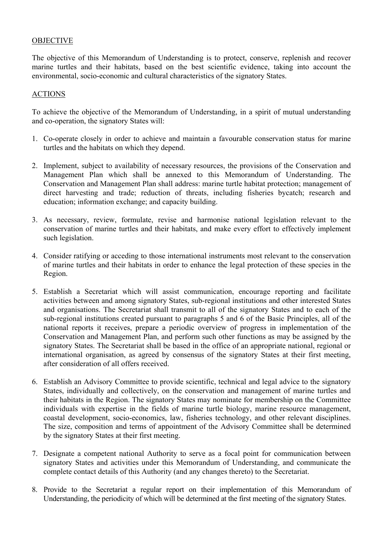## **OBJECTIVE**

The objective of this Memorandum of Understanding is to protect, conserve, replenish and recover marine turtles and their habitats, based on the best scientific evidence, taking into account the environmental, socio-economic and cultural characteristics of the signatory States.

### ACTIONS

To achieve the objective of the Memorandum of Understanding, in a spirit of mutual understanding and co-operation, the signatory States will:

- 1. Co-operate closely in order to achieve and maintain a favourable conservation status for marine turtles and the habitats on which they depend.
- 2. Implement, subject to availability of necessary resources, the provisions of the Conservation and Management Plan which shall be annexed to this Memorandum of Understanding. The Conservation and Management Plan shall address: marine turtle habitat protection; management of direct harvesting and trade; reduction of threats, including fisheries bycatch; research and education; information exchange; and capacity building.
- 3. As necessary, review, formulate, revise and harmonise national legislation relevant to the conservation of marine turtles and their habitats, and make every effort to effectively implement such legislation.
- 4. Consider ratifying or acceding to those international instruments most relevant to the conservation of marine turtles and their habitats in order to enhance the legal protection of these species in the Region.
- 5. Establish a Secretariat which will assist communication, encourage reporting and facilitate activities between and among signatory States, sub-regional institutions and other interested States and organisations. The Secretariat shall transmit to all of the signatory States and to each of the sub-regional institutions created pursuant to paragraphs 5 and 6 of the Basic Principles, all of the national reports it receives, prepare a periodic overview of progress in implementation of the Conservation and Management Plan, and perform such other functions as may be assigned by the signatory States. The Secretariat shall be based in the office of an appropriate national, regional or international organisation, as agreed by consensus of the signatory States at their first meeting, after consideration of all offers received.
- 6. Establish an Advisory Committee to provide scientific, technical and legal advice to the signatory States, individually and collectively, on the conservation and management of marine turtles and their habitats in the Region. The signatory States may nominate for membership on the Committee individuals with expertise in the fields of marine turtle biology, marine resource management, coastal development, socio-economics, law, fisheries technology, and other relevant disciplines. The size, composition and terms of appointment of the Advisory Committee shall be determined by the signatory States at their first meeting.
- 7. Designate a competent national Authority to serve as a focal point for communication between signatory States and activities under this Memorandum of Understanding, and communicate the complete contact details of this Authority (and any changes thereto) to the Secretariat.
- 8. Provide to the Secretariat a regular report on their implementation of this Memorandum of Understanding, the periodicity of which will be determined at the first meeting of the signatory States.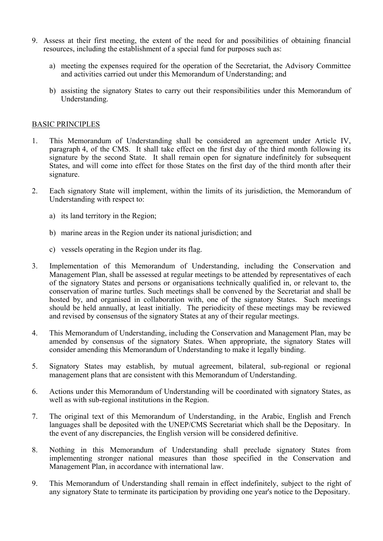- 9. Assess at their first meeting, the extent of the need for and possibilities of obtaining financial resources, including the establishment of a special fund for purposes such as:
	- a) meeting the expenses required for the operation of the Secretariat, the Advisory Committee and activities carried out under this Memorandum of Understanding; and
	- b) assisting the signatory States to carry out their responsibilities under this Memorandum of Understanding.

### BASIC PRINCIPLES

- 1. This Memorandum of Understanding shall be considered an agreement under Article IV, paragraph 4, of the CMS. It shall take effect on the first day of the third month following its signature by the second State. It shall remain open for signature indefinitely for subsequent States, and will come into effect for those States on the first day of the third month after their signature.
- 2. Each signatory State will implement, within the limits of its jurisdiction, the Memorandum of Understanding with respect to:
	- a) its land territory in the Region;
	- b) marine areas in the Region under its national jurisdiction; and
	- c) vessels operating in the Region under its flag.
- 3. Implementation of this Memorandum of Understanding, including the Conservation and Management Plan, shall be assessed at regular meetings to be attended by representatives of each of the signatory States and persons or organisations technically qualified in, or relevant to, the conservation of marine turtles. Such meetings shall be convened by the Secretariat and shall be hosted by, and organised in collaboration with, one of the signatory States. Such meetings should be held annually, at least initially. The periodicity of these meetings may be reviewed and revised by consensus of the signatory States at any of their regular meetings.
- 4. This Memorandum of Understanding, including the Conservation and Management Plan, may be amended by consensus of the signatory States. When appropriate, the signatory States will consider amending this Memorandum of Understanding to make it legally binding.
- 5. Signatory States may establish, by mutual agreement, bilateral, sub-regional or regional management plans that are consistent with this Memorandum of Understanding.
- 6. Actions under this Memorandum of Understanding will be coordinated with signatory States, as well as with sub-regional institutions in the Region.
- 7. The original text of this Memorandum of Understanding, in the Arabic, English and French languages shall be deposited with the UNEP/CMS Secretariat which shall be the Depositary. In the event of any discrepancies, the English version will be considered definitive.
- 8. Nothing in this Memorandum of Understanding shall preclude signatory States from implementing stronger national measures than those specified in the Conservation and Management Plan, in accordance with international law.
- 9. This Memorandum of Understanding shall remain in effect indefinitely, subject to the right of any signatory State to terminate its participation by providing one year's notice to the Depositary.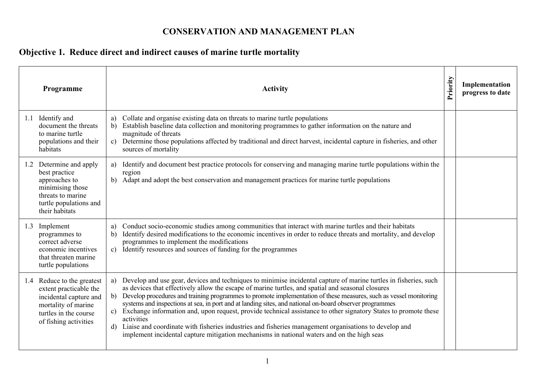## **CONSERVATION AND MANAGEMENT PLAN**

# **Objective 1. Reduce direct and indirect causes of marine turtle mortality**

|     | Programme                                                                                                                                               | <b>Activity</b>                                                                                                                                                                                                                                                                                                                                                                                                                                                                                                                                                                                                                                                                                                                                                                                                                   | Priority | Implementation<br>progress to date |
|-----|---------------------------------------------------------------------------------------------------------------------------------------------------------|-----------------------------------------------------------------------------------------------------------------------------------------------------------------------------------------------------------------------------------------------------------------------------------------------------------------------------------------------------------------------------------------------------------------------------------------------------------------------------------------------------------------------------------------------------------------------------------------------------------------------------------------------------------------------------------------------------------------------------------------------------------------------------------------------------------------------------------|----------|------------------------------------|
| 1.1 | Identify and<br>document the threats<br>to marine turtle<br>populations and their<br>habitats                                                           | Collate and organise existing data on threats to marine turtle populations<br>a)<br>Establish baseline data collection and monitoring programmes to gather information on the nature and<br>b)<br>magnitude of threats<br>Determine those populations affected by traditional and direct harvest, incidental capture in fisheries, and other<br>$\mathbf{c}$<br>sources of mortality                                                                                                                                                                                                                                                                                                                                                                                                                                              |          |                                    |
|     | 1.2 Determine and apply<br>best practice<br>approaches to<br>minimising those<br>threats to marine<br>turtle populations and<br>their habitats          | Identify and document best practice protocols for conserving and managing marine turtle populations within the<br>a)<br>region<br>Adapt and adopt the best conservation and management practices for marine turtle populations                                                                                                                                                                                                                                                                                                                                                                                                                                                                                                                                                                                                    |          |                                    |
|     | 1.3 Implement<br>programmes to<br>correct adverse<br>economic incentives<br>that threaten marine<br>turtle populations                                  | Conduct socio-economic studies among communities that interact with marine turtles and their habitats<br>a)<br>Identify desired modifications to the economic incentives in order to reduce threats and mortality, and develop<br>b)<br>programmes to implement the modifications<br>Identify resources and sources of funding for the programmes<br>c)                                                                                                                                                                                                                                                                                                                                                                                                                                                                           |          |                                    |
|     | 1.4 Reduce to the greatest<br>extent practicable the<br>incidental capture and<br>mortality of marine<br>turtles in the course<br>of fishing activities | Develop and use gear, devices and techniques to minimise incidental capture of marine turtles in fisheries, such<br>a)<br>as devices that effectively allow the escape of marine turtles, and spatial and seasonal closures<br>Develop procedures and training programmes to promote implementation of these measures, such as vessel monitoring<br>b)<br>systems and inspections at sea, in port and at landing sites, and national on-board observer programmes<br>Exchange information and, upon request, provide technical assistance to other signatory States to promote these<br>$\mathbf{c}$ )<br>activities<br>Liaise and coordinate with fisheries industries and fisheries management organisations to develop and<br>d)<br>implement incidental capture mitigation mechanisms in national waters and on the high seas |          |                                    |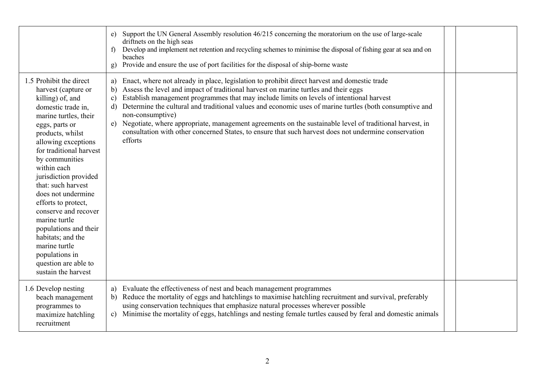|                                                                                                                                                                                                                                                                                                                                                                                                                                                                                                                 | e) Support the UN General Assembly resolution 46/215 concerning the moratorium on the use of large-scale<br>driftnets on the high seas<br>Develop and implement net retention and recycling schemes to minimise the disposal of fishing gear at sea and on<br>$\mathbf{f}$<br>beaches<br>Provide and ensure the use of port facilities for the disposal of ship-borne waste<br>g)                                                                                                                                                                                                                                                                                                            |  |
|-----------------------------------------------------------------------------------------------------------------------------------------------------------------------------------------------------------------------------------------------------------------------------------------------------------------------------------------------------------------------------------------------------------------------------------------------------------------------------------------------------------------|----------------------------------------------------------------------------------------------------------------------------------------------------------------------------------------------------------------------------------------------------------------------------------------------------------------------------------------------------------------------------------------------------------------------------------------------------------------------------------------------------------------------------------------------------------------------------------------------------------------------------------------------------------------------------------------------|--|
| 1.5 Prohibit the direct<br>harvest (capture or<br>killing) of, and<br>domestic trade in,<br>marine turtles, their<br>eggs, parts or<br>products, whilst<br>allowing exceptions<br>for traditional harvest<br>by communities<br>within each<br>jurisdiction provided<br>that: such harvest<br>does not undermine<br>efforts to protect,<br>conserve and recover<br>marine turtle<br>populations and their<br>habitats; and the<br>marine turtle<br>populations in<br>question are able to<br>sustain the harvest | Enact, where not already in place, legislation to prohibit direct harvest and domestic trade<br>a)<br>Assess the level and impact of traditional harvest on marine turtles and their eggs<br>b)<br>Establish management programmes that may include limits on levels of intentional harvest<br>$\mathbf{c}$<br>Determine the cultural and traditional values and economic uses of marine turtles (both consumptive and<br>$\mathbf{d}$<br>non-consumptive)<br>e) Negotiate, where appropriate, management agreements on the sustainable level of traditional harvest, in<br>consultation with other concerned States, to ensure that such harvest does not undermine conservation<br>efforts |  |
| 1.6 Develop nesting<br>beach management<br>programmes to<br>maximize hatchling<br>recruitment                                                                                                                                                                                                                                                                                                                                                                                                                   | a) Evaluate the effectiveness of nest and beach management programmes<br>Reduce the mortality of eggs and hatchlings to maximise hatchling recruitment and survival, preferably<br>b)<br>using conservation techniques that emphasize natural processes wherever possible<br>Minimise the mortality of eggs, hatchlings and nesting female turtles caused by feral and domestic animals<br>$\mathbf{c}$                                                                                                                                                                                                                                                                                      |  |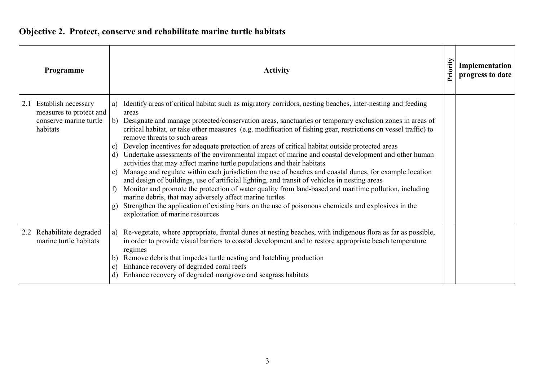# **Objective 2. Protect, conserve and rehabilitate marine turtle habitats**

|     | Programme                                                                            | <b>Activity</b>                                                                                                                                                                                                                                                                                                                                                                                                                                                                                                                                                                                                                                                                                                                                                                                                                                                                                                                                                                                                                                                                                                                                                                                                                                           |  | Implementation<br>progress to date |
|-----|--------------------------------------------------------------------------------------|-----------------------------------------------------------------------------------------------------------------------------------------------------------------------------------------------------------------------------------------------------------------------------------------------------------------------------------------------------------------------------------------------------------------------------------------------------------------------------------------------------------------------------------------------------------------------------------------------------------------------------------------------------------------------------------------------------------------------------------------------------------------------------------------------------------------------------------------------------------------------------------------------------------------------------------------------------------------------------------------------------------------------------------------------------------------------------------------------------------------------------------------------------------------------------------------------------------------------------------------------------------|--|------------------------------------|
| 2.1 | Establish necessary<br>measures to protect and<br>conserve marine turtle<br>habitats | Identify areas of critical habitat such as migratory corridors, nesting beaches, inter-nesting and feeding<br>a)<br>areas<br>b) Designate and manage protected/conservation areas, sanctuaries or temporary exclusion zones in areas of<br>critical habitat, or take other measures (e.g. modification of fishing gear, restrictions on vessel traffic) to<br>remove threats to such areas<br>Develop incentives for adequate protection of areas of critical habitat outside protected areas<br>$\mathbf{c}$<br>Undertake assessments of the environmental impact of marine and coastal development and other human<br>d)<br>activities that may affect marine turtle populations and their habitats<br>Manage and regulate within each jurisdiction the use of beaches and coastal dunes, for example location<br>e)<br>and design of buildings, use of artificial lighting, and transit of vehicles in nesting areas<br>Monitor and promote the protection of water quality from land-based and maritime pollution, including<br>$\uparrow$<br>marine debris, that may adversely affect marine turtles<br>Strengthen the application of existing bans on the use of poisonous chemicals and explosives in the<br>g<br>exploitation of marine resources |  |                                    |
|     | 2.2 Rehabilitate degraded<br>marine turtle habitats                                  | Re-vegetate, where appropriate, frontal dunes at nesting beaches, with indigenous flora as far as possible,<br>a)<br>in order to provide visual barriers to coastal development and to restore appropriate beach temperature<br>regimes<br>Remove debris that impedes turtle nesting and hatchling production<br>$\mathbf{b}$<br>Enhance recovery of degraded coral reefs<br>$\mathbf{C}$<br>Enhance recovery of degraded mangrove and seagrass habitats<br>$\mathbf d$                                                                                                                                                                                                                                                                                                                                                                                                                                                                                                                                                                                                                                                                                                                                                                                   |  |                                    |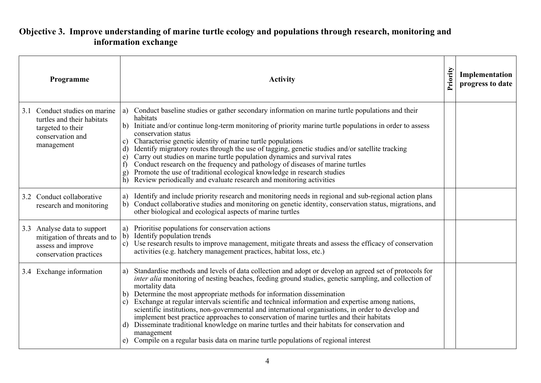## **Objective 3. Improve understanding of marine turtle ecology and populations through research, monitoring and information exchange**

|     | Programme                                                                                                      | <b>Activity</b>                                                                                                                                                                                                                                                                                                                                                                                                                                                                                                                                                                                                                                                                                                                                                                                                                                        |  | Implementation<br>progress to date |
|-----|----------------------------------------------------------------------------------------------------------------|--------------------------------------------------------------------------------------------------------------------------------------------------------------------------------------------------------------------------------------------------------------------------------------------------------------------------------------------------------------------------------------------------------------------------------------------------------------------------------------------------------------------------------------------------------------------------------------------------------------------------------------------------------------------------------------------------------------------------------------------------------------------------------------------------------------------------------------------------------|--|------------------------------------|
| 3.1 | Conduct studies on marine<br>turtles and their habitats<br>targeted to their<br>conservation and<br>management | Conduct baseline studies or gather secondary information on marine turtle populations and their<br>a)<br>habitats<br>b) Initiate and/or continue long-term monitoring of priority marine turtle populations in order to assess<br>conservation status<br>Characterise genetic identity of marine turtle populations<br>c)<br>Identify migratory routes through the use of tagging, genetic studies and/or satellite tracking<br>$\mathbf{d}$<br>Carry out studies on marine turtle population dynamics and survival rates<br>e)<br>Conduct research on the frequency and pathology of diseases of marine turtles<br>$\mathbf{f}$<br>Promote the use of traditional ecological knowledge in research studies<br>g)<br>$\overline{h}$ )<br>Review periodically and evaluate research and monitoring activities                                           |  |                                    |
|     | 3.2 Conduct collaborative<br>research and monitoring                                                           | Identify and include priority research and monitoring needs in regional and sub-regional action plans<br>a)<br>Conduct collaborative studies and monitoring on genetic identity, conservation status, migrations, and<br>b)<br>other biological and ecological aspects of marine turtles                                                                                                                                                                                                                                                                                                                                                                                                                                                                                                                                                               |  |                                    |
|     | 3.3 Analyse data to support<br>mitigation of threats and to<br>assess and improve<br>conservation practices    | Prioritise populations for conservation actions<br>a)<br>$\mathbf{b}$ )<br>Identify population trends<br>Use research results to improve management, mitigate threats and assess the efficacy of conservation<br>$\mathbf{c})$<br>activities (e.g. hatchery management practices, habitat loss, etc.)                                                                                                                                                                                                                                                                                                                                                                                                                                                                                                                                                  |  |                                    |
|     | 3.4 Exchange information                                                                                       | Standardise methods and levels of data collection and adopt or develop an agreed set of protocols for<br>a)<br>inter alia monitoring of nesting beaches, feeding ground studies, genetic sampling, and collection of<br>mortality data<br>Determine the most appropriate methods for information dissemination<br>b)<br>Exchange at regular intervals scientific and technical information and expertise among nations,<br>$\mathbf{c}$<br>scientific institutions, non-governmental and international organisations, in order to develop and<br>implement best practice approaches to conservation of marine turtles and their habitats<br>Disseminate traditional knowledge on marine turtles and their habitats for conservation and<br>d)<br>management<br>Compile on a regular basis data on marine turtle populations of regional interest<br>e) |  |                                    |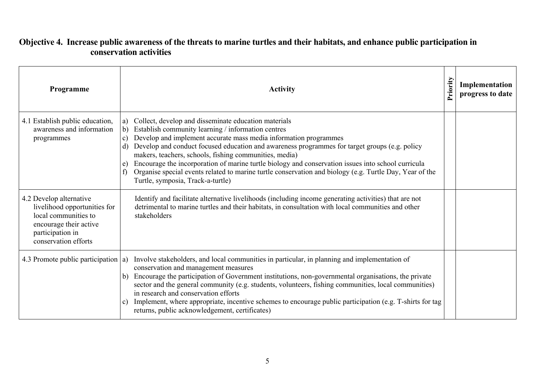## **Objective 4. Increase public awareness of the threats to marine turtles and their habitats, and enhance public participation in conservation activities**

| Programme                                                                                                                                             | <b>Activity</b>                                                                                                                                                                                                                                                                                                                                                                                                                                                                                                                                                                                                                                          | Priority | Implementation<br>progress to date |
|-------------------------------------------------------------------------------------------------------------------------------------------------------|----------------------------------------------------------------------------------------------------------------------------------------------------------------------------------------------------------------------------------------------------------------------------------------------------------------------------------------------------------------------------------------------------------------------------------------------------------------------------------------------------------------------------------------------------------------------------------------------------------------------------------------------------------|----------|------------------------------------|
| 4.1 Establish public education,<br>awareness and information<br>programmes                                                                            | Collect, develop and disseminate education materials<br>a)<br>Establish community learning / information centres<br>b)<br>Develop and implement accurate mass media information programmes<br>$\mathbf{c})$<br>Develop and conduct focused education and awareness programmes for target groups (e.g. policy<br>d)<br>makers, teachers, schools, fishing communities, media)<br>Encourage the incorporation of marine turtle biology and conservation issues into school curricula<br>e)<br>Organise special events related to marine turtle conservation and biology (e.g. Turtle Day, Year of the<br>$\mathbf{f}$<br>Turtle, symposia, Track-a-turtle) |          |                                    |
| 4.2 Develop alternative<br>livelihood opportunities for<br>local communities to<br>encourage their active<br>participation in<br>conservation efforts | Identify and facilitate alternative livelihoods (including income generating activities) that are not<br>detrimental to marine turtles and their habitats, in consultation with local communities and other<br>stakeholders                                                                                                                                                                                                                                                                                                                                                                                                                              |          |                                    |
| 4.3 Promote public participation $ a\rangle$                                                                                                          | Involve stakeholders, and local communities in particular, in planning and implementation of<br>conservation and management measures<br>Encourage the participation of Government institutions, non-governmental organisations, the private<br>b)<br>sector and the general community (e.g. students, volunteers, fishing communities, local communities)<br>in research and conservation efforts<br>Implement, where appropriate, incentive schemes to encourage public participation (e.g. T-shirts for tag<br>$\mathbf{c})$<br>returns, public acknowledgement, certificates)                                                                         |          |                                    |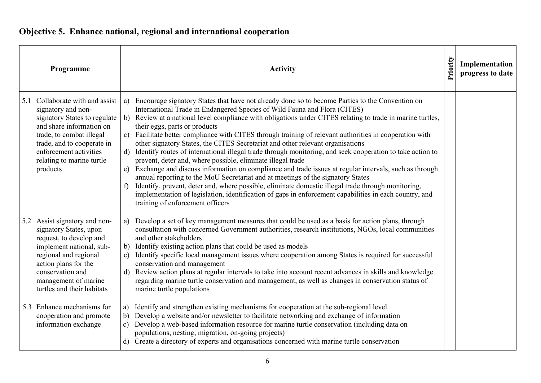# **Objective 5. Enhance national, regional and international cooperation**

| Programme                                                                                                                                                                                                                                      | <b>Activity</b>                                                                                                                                                                                                                                                                                                                                                                                                                                                                                                                                                                                                                                                                                                                                                                                                                                                                                                                                                                                                                                                                                                                                                                                         | Priority | Implementation<br>progress to date |
|------------------------------------------------------------------------------------------------------------------------------------------------------------------------------------------------------------------------------------------------|---------------------------------------------------------------------------------------------------------------------------------------------------------------------------------------------------------------------------------------------------------------------------------------------------------------------------------------------------------------------------------------------------------------------------------------------------------------------------------------------------------------------------------------------------------------------------------------------------------------------------------------------------------------------------------------------------------------------------------------------------------------------------------------------------------------------------------------------------------------------------------------------------------------------------------------------------------------------------------------------------------------------------------------------------------------------------------------------------------------------------------------------------------------------------------------------------------|----------|------------------------------------|
| 5.1 Collaborate with and assist<br>signatory and non-<br>signatory States to regulate<br>and share information on<br>trade, to combat illegal<br>trade, and to cooperate in<br>enforcement activities<br>relating to marine turtle<br>products | Encourage signatory States that have not already done so to become Parties to the Convention on<br>a)<br>International Trade in Endangered Species of Wild Fauna and Flora (CITES)<br>Review at a national level compliance with obligations under CITES relating to trade in marine turtles,<br>b)<br>their eggs, parts or products<br>Facilitate better compliance with CITES through training of relevant authorities in cooperation with<br>$\mathbf{c}$ )<br>other signatory States, the CITES Secretariat and other relevant organisations<br>Identify routes of international illegal trade through monitoring, and seek cooperation to take action to<br>$\mathbf{d}$<br>prevent, deter and, where possible, eliminate illegal trade<br>Exchange and discuss information on compliance and trade issues at regular intervals, such as through<br>e)<br>annual reporting to the MoU Secretariat and at meetings of the signatory States<br>Identify, prevent, deter and, where possible, eliminate domestic illegal trade through monitoring,<br>f<br>implementation of legislation, identification of gaps in enforcement capabilities in each country, and<br>training of enforcement officers |          |                                    |
| 5.2 Assist signatory and non-<br>signatory States, upon<br>request, to develop and<br>implement national, sub-<br>regional and regional<br>action plans for the<br>conservation and<br>management of marine<br>turtles and their habitats      | Develop a set of key management measures that could be used as a basis for action plans, through<br>a)<br>consultation with concerned Government authorities, research institutions, NGOs, local communities<br>and other stakeholders<br>Identify existing action plans that could be used as models<br>b)<br>Identify specific local management issues where cooperation among States is required for successful<br>$\mathbf{c}$ )<br>conservation and management<br>Review action plans at regular intervals to take into account recent advances in skills and knowledge<br>$\mathbf{d}$<br>regarding marine turtle conservation and management, as well as changes in conservation status of<br>marine turtle populations                                                                                                                                                                                                                                                                                                                                                                                                                                                                          |          |                                    |
| 5.3 Enhance mechanisms for<br>cooperation and promote<br>information exchange                                                                                                                                                                  | Identify and strengthen existing mechanisms for cooperation at the sub-regional level<br>a)<br>Develop a website and/or newsletter to facilitate networking and exchange of information<br>b)<br>Develop a web-based information resource for marine turtle conservation (including data on<br>$\mathbf{c}$<br>populations, nesting, migration, on-going projects)<br>d) Create a directory of experts and organisations concerned with marine turtle conservation                                                                                                                                                                                                                                                                                                                                                                                                                                                                                                                                                                                                                                                                                                                                      |          |                                    |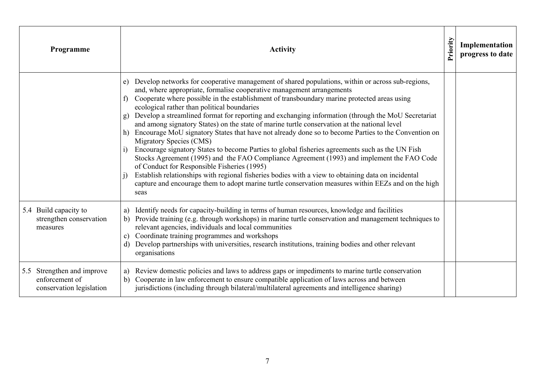| Programme                                                                | Priority<br><b>Activity</b>                                                                                                                                                                                                                                                                                                                                                                                                                                                                                                                                                                                                                                                                                                                                                                                                                                                                                                                                                                                                                                                                                                                              |  | Implementation<br>progress to date |
|--------------------------------------------------------------------------|----------------------------------------------------------------------------------------------------------------------------------------------------------------------------------------------------------------------------------------------------------------------------------------------------------------------------------------------------------------------------------------------------------------------------------------------------------------------------------------------------------------------------------------------------------------------------------------------------------------------------------------------------------------------------------------------------------------------------------------------------------------------------------------------------------------------------------------------------------------------------------------------------------------------------------------------------------------------------------------------------------------------------------------------------------------------------------------------------------------------------------------------------------|--|------------------------------------|
|                                                                          | Develop networks for cooperative management of shared populations, within or across sub-regions,<br>e)<br>and, where appropriate, formalise cooperative management arrangements<br>Cooperate where possible in the establishment of transboundary marine protected areas using<br>f<br>ecological rather than political boundaries<br>Develop a streamlined format for reporting and exchanging information (through the MoU Secretariat<br>g)<br>and among signatory States) on the state of marine turtle conservation at the national level<br>h) Encourage MoU signatory States that have not already done so to become Parties to the Convention on<br>Migratory Species (CMS)<br>Encourage signatory States to become Parties to global fisheries agreements such as the UN Fish<br>Stocks Agreement (1995) and the FAO Compliance Agreement (1993) and implement the FAO Code<br>of Conduct for Responsible Fisheries (1995)<br>Establish relationships with regional fisheries bodies with a view to obtaining data on incidental<br>capture and encourage them to adopt marine turtle conservation measures within EEZs and on the high<br>seas |  |                                    |
| 5.4 Build capacity to<br>strengthen conservation<br>measures             | Identify needs for capacity-building in terms of human resources, knowledge and facilities<br>a)<br>Provide training (e.g. through workshops) in marine turtle conservation and management techniques to<br>b)<br>relevant agencies, individuals and local communities<br>Coordinate training programmes and workshops<br>c)<br>Develop partnerships with universities, research institutions, training bodies and other relevant<br>d)<br>organisations                                                                                                                                                                                                                                                                                                                                                                                                                                                                                                                                                                                                                                                                                                 |  |                                    |
| 5.5 Strengthen and improve<br>enforcement of<br>conservation legislation | Review domestic policies and laws to address gaps or impediments to marine turtle conservation<br>a)<br>Cooperate in law enforcement to ensure compatible application of laws across and between<br>b)<br>jurisdictions (including through bilateral/multilateral agreements and intelligence sharing)                                                                                                                                                                                                                                                                                                                                                                                                                                                                                                                                                                                                                                                                                                                                                                                                                                                   |  |                                    |